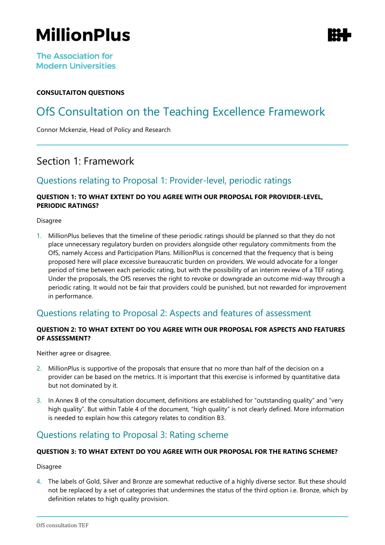# **MillionPlus**

**The Association for Modern Universities** 

### **CONSULTAITON QUESTIONS**

# OfS Consultation on the Teaching Excellence Framework

Connor Mckenzie, Head of Policy and Research

### Section 1: Framework

### Questions relating to Proposal 1: Provider-level, periodic ratings

#### **QUESTION 1: TO WHAT EXTENT DO YOU AGREE WITH OUR PROPOSAL FOR PROVIDER-LEVEL, PERIODIC RATINGS?**

Disagree

1. MillionPlus believes that the timeline of these periodic ratings should be planned so that they do not place unnecessary regulatory burden on providers alongside other regulatory commitments from the OfS, namely Access and Participation Plans. MillionPlus is concerned that the frequency that is being proposed here will place excessive bureaucratic burden on providers. We would advocate for a longer period of time between each periodic rating, but with the possibility of an interim review of a TEF rating. Under the proposals, the OfS reserves the right to revoke or downgrade an outcome mid-way through a periodic rating. It would not be fair that providers could be punished, but not rewarded for improvement in performance.

### Questions relating to Proposal 2: Aspects and features of assessment

#### **QUESTION 2: TO WHAT EXTENT DO YOU AGREE WITH OUR PROPOSAL FOR ASPECTS AND FEATURES OF ASSESSMENT?**

Neither agree or disagree.

- 2. MillionPlus is supportive of the proposals that ensure that no more than half of the decision on a provider can be based on the metrics. It is important that this exercise is informed by quantitative data but not dominated by it.
- 3. In Annex B of the consultation document, definitions are established for "outstanding quality" and "very high quality". But within Table 4 of the document, "high quality" is not clearly defined. More information is needed to explain how this category relates to condition B3.

### Questions relating to Proposal 3: Rating scheme

#### **QUESTION 3: TO WHAT EXTENT DO YOU AGREE WITH OUR PROPOSAL FOR THE RATING SCHEME?**

Disagree

4. The labels of Gold, Silver and Bronze are somewhat reductive of a highly diverse sector. But these should not be replaced by a set of categories that undermines the status of the third option i.e. Bronze, which by definition relates to high quality provision.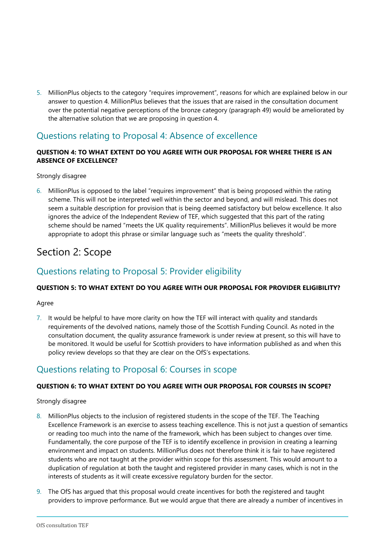5. MillionPlus objects to the category "requires improvement", reasons for which are explained below in our answer to question 4. MillionPlus believes that the issues that are raised in the consultation document over the potential negative perceptions of the bronze category (paragraph 49) would be ameliorated by the alternative solution that we are proposing in question 4.

### Questions relating to Proposal 4: Absence of excellence

#### **QUESTION 4: TO WHAT EXTENT DO YOU AGREE WITH OUR PROPOSAL FOR WHERE THERE IS AN ABSENCE OF EXCELLENCE?**

#### Strongly disagree

6. MillionPlus is opposed to the label "requires improvement" that is being proposed within the rating scheme. This will not be interpreted well within the sector and beyond, and will mislead. This does not seem a suitable description for provision that is being deemed satisfactory but below excellence. It also ignores the advice of the Independent Review of TEF, which suggested that this part of the rating scheme should be named "meets the UK quality requirements". MillionPlus believes it would be more appropriate to adopt this phrase or similar language such as "meets the quality threshold".

# Section 2: Scope

### Questions relating to Proposal 5: Provider eligibility

### **QUESTION 5: TO WHAT EXTENT DO YOU AGREE WITH OUR PROPOSAL FOR PROVIDER ELIGIBILITY?**

#### Agree

7. It would be helpful to have more clarity on how the TEF will interact with quality and standards requirements of the devolved nations, namely those of the Scottish Funding Council. As noted in the consultation document, the quality assurance framework is under review at present, so this will have to be monitored. It would be useful for Scottish providers to have information published as and when this policy review develops so that they are clear on the OfS's expectations.

### Questions relating to Proposal 6: Courses in scope

#### **QUESTION 6: TO WHAT EXTENT DO YOU AGREE WITH OUR PROPOSAL FOR COURSES IN SCOPE?**

#### Strongly disagree

- 8. MillionPlus objects to the inclusion of registered students in the scope of the TEF. The Teaching Excellence Framework is an exercise to assess teaching excellence. This is not just a question of semantics or reading too much into the name of the framework, which has been subject to changes over time. Fundamentally, the core purpose of the TEF is to identify excellence in provision in creating a learning environment and impact on students. MillionPlus does not therefore think it is fair to have registered students who are not taught at the provider within scope for this assessment. This would amount to a duplication of regulation at both the taught and registered provider in many cases, which is not in the interests of students as it will create excessive regulatory burden for the sector.
- 9. The OfS has argued that this proposal would create incentives for both the registered and taught providers to improve performance. But we would argue that there are already a number of incentives in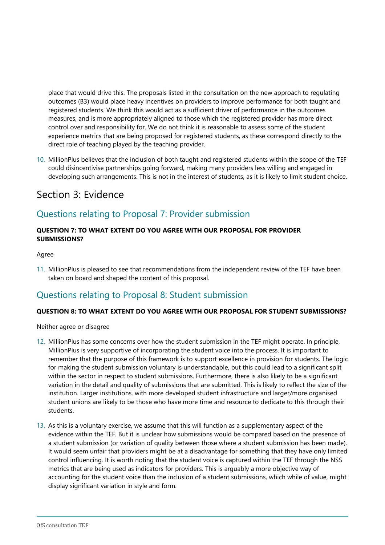place that would drive this. The proposals listed in the consultation on the new approach to regulating outcomes (B3) would place heavy incentives on providers to improve performance for both taught and registered students. We think this would act as a sufficient driver of performance in the outcomes measures, and is more appropriately aligned to those which the registered provider has more direct control over and responsibility for. We do not think it is reasonable to assess some of the student experience metrics that are being proposed for registered students, as these correspond directly to the direct role of teaching played by the teaching provider.

10. MillionPlus believes that the inclusion of both taught and registered students within the scope of the TEF could disincentivise partnerships going forward, making many providers less willing and engaged in developing such arrangements. This is not in the interest of students, as it is likely to limit student choice.

## Section 3: Evidence

### Questions relating to Proposal 7: Provider submission

#### **QUESTION 7: TO WHAT EXTENT DO YOU AGREE WITH OUR PROPOSAL FOR PROVIDER SUBMISSIONS?**

#### Agree

11. MillionPlus is pleased to see that recommendations from the independent review of the TEF have been taken on board and shaped the content of this proposal.

### Questions relating to Proposal 8: Student submission

#### **QUESTION 8: TO WHAT EXTENT DO YOU AGREE WITH OUR PROPOSAL FOR STUDENT SUBMISSIONS?**

Neither agree or disagree

- 12. MillionPlus has some concerns over how the student submission in the TEF might operate. In principle, MillionPlus is very supportive of incorporating the student voice into the process. It is important to remember that the purpose of this framework is to support excellence in provision for students. The logic for making the student submission voluntary is understandable, but this could lead to a significant split within the sector in respect to student submissions. Furthermore, there is also likely to be a significant variation in the detail and quality of submissions that are submitted. This is likely to reflect the size of the institution. Larger institutions, with more developed student infrastructure and larger/more organised student unions are likely to be those who have more time and resource to dedicate to this through their students.
- 13. As this is a voluntary exercise, we assume that this will function as a supplementary aspect of the evidence within the TEF. But it is unclear how submissions would be compared based on the presence of a student submission (or variation of quality between those where a student submission has been made). It would seem unfair that providers might be at a disadvantage for something that they have only limited control influencing. It is worth noting that the student voice is captured within the TEF through the NSS metrics that are being used as indicators for providers. This is arguably a more objective way of accounting for the student voice than the inclusion of a student submissions, which while of value, might display significant variation in style and form.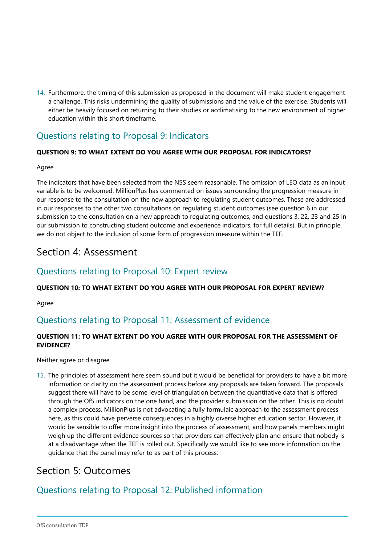14. Furthermore, the timing of this submission as proposed in the document will make student engagement a challenge. This risks undermining the quality of submissions and the value of the exercise. Students will either be heavily focused on returning to their studies or acclimatising to the new environment of higher education within this short timeframe.

### Questions relating to Proposal 9: Indicators

### **QUESTION 9: TO WHAT EXTENT DO YOU AGREE WITH OUR PROPOSAL FOR INDICATORS?**

#### Agree

The indicators that have been selected from the NSS seem reasonable. The omission of LEO data as an input variable is to be welcomed. MillionPlus has commented on issues surrounding the progression measure in our response to the consultation on the new approach to regulating student outcomes. These are addressed in our responses to the other two consultations on regulating student outcomes (see question 6 in our submission to the consultation on a new approach to regulating outcomes, and questions 3, 22, 23 and 25 in our submission to constructing student outcome and experience indicators, for full details). But in principle, we do not object to the inclusion of some form of progression measure within the TEF.

### Section 4: Assessment

### Questions relating to Proposal 10: Expert review

### **QUESTION 10: TO WHAT EXTENT DO YOU AGREE WITH OUR PROPOSAL FOR EXPERT REVIEW?**

Agree

### Questions relating to Proposal 11: Assessment of evidence

### **QUESTION 11: TO WHAT EXTENT DO YOU AGREE WITH OUR PROPOSAL FOR THE ASSESSMENT OF EVIDENCE?**

Neither agree or disagree

15. The principles of assessment here seem sound but it would be beneficial for providers to have a bit more information or clarity on the assessment process before any proposals are taken forward. The proposals suggest there will have to be some level of triangulation between the quantitative data that is offered through the OfS indicators on the one hand, and the provider submission on the other. This is no doubt a complex process. MillionPlus is not advocating a fully formulaic approach to the assessment process here, as this could have perverse consequences in a highly diverse higher education sector. However, it would be sensible to offer more insight into the process of assessment, and how panels members might weigh up the different evidence sources so that providers can effectively plan and ensure that nobody is at a disadvantage when the TEF is rolled out. Specifically we would like to see more information on the guidance that the panel may refer to as part of this process.

# Section 5: Outcomes

# Questions relating to Proposal 12: Published information